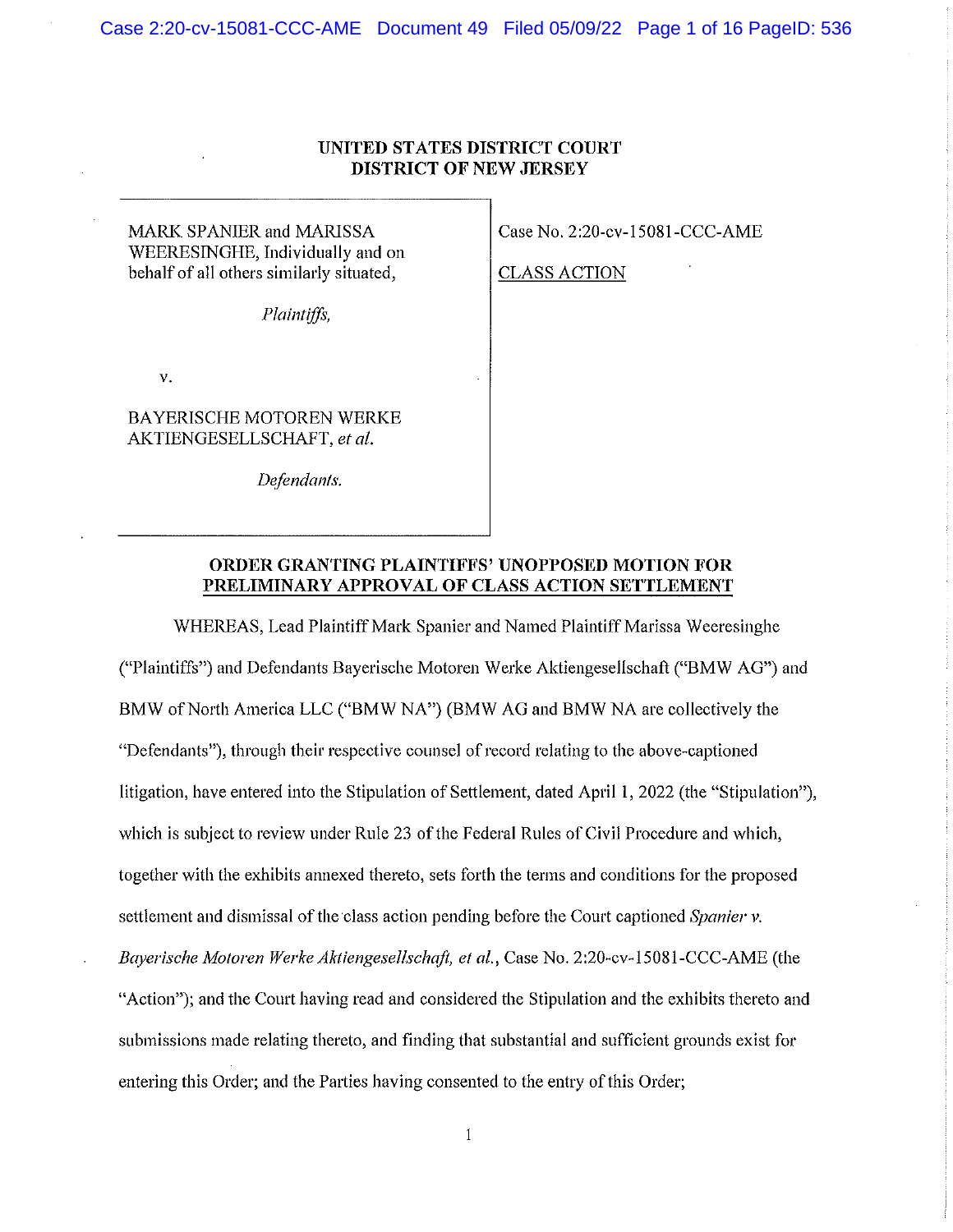## UNITED STATES DISTRICT COURT DISTRICT OF NEW JERSEY

MARK SPANIER and MARISSA WEERESINGHE, Individually and on behalf of all others similarly situated,

Plaintiffs,

V.

BAYERISCHE MOTOREN WERKE AKTIENGESELLSCHAPT, et al.

Defendants,

Case No. 2:20-cv-15081-CCC-AME

CLASS ACTION

## ORDER GRANTING PLAINTIFFS' UNOPPOSED MOTION FOR PRELIMINARY APPROVAL OF CLASS ACTION SETTLEMENT

WHEREAS, Lead Plaintiff Mark Spanier and Named Plaintiff Marissa Weeresinghe ("Plaintiffs") and Defendants Bayerische Motorcn Werke Aktlengeselischaft ("BMW AG") and BMW of North America LLC ("BMW NA») (BMW AG and BMW NA are collectively the "Defendants"), through their respective counsel of record relating to the above-captioned litigation, have entered into the Stipulation of Settlement, dated April 1, 2022 (the "Stipulation"), which is subject to review under Rule 23 of the Federal Rules of Civil Procedure and which, together with the exhibits annexed thereto, sets forth the terms and conditions for the proposed settlement and dismissal of the class action pending before the Court captioned Spanier v. Bayerische Motoren Werke Aktiengesellschaft, et al., Case No. 2:20-cv-15081-CCC-AME (the "Action"); and the Court having read and considered the Stipulation and the exhibits thereto and submissions made relating thereto, and finding that substantial and sufficient grounds exist for entering this Order; and the Parties having consented to the entry of this Order;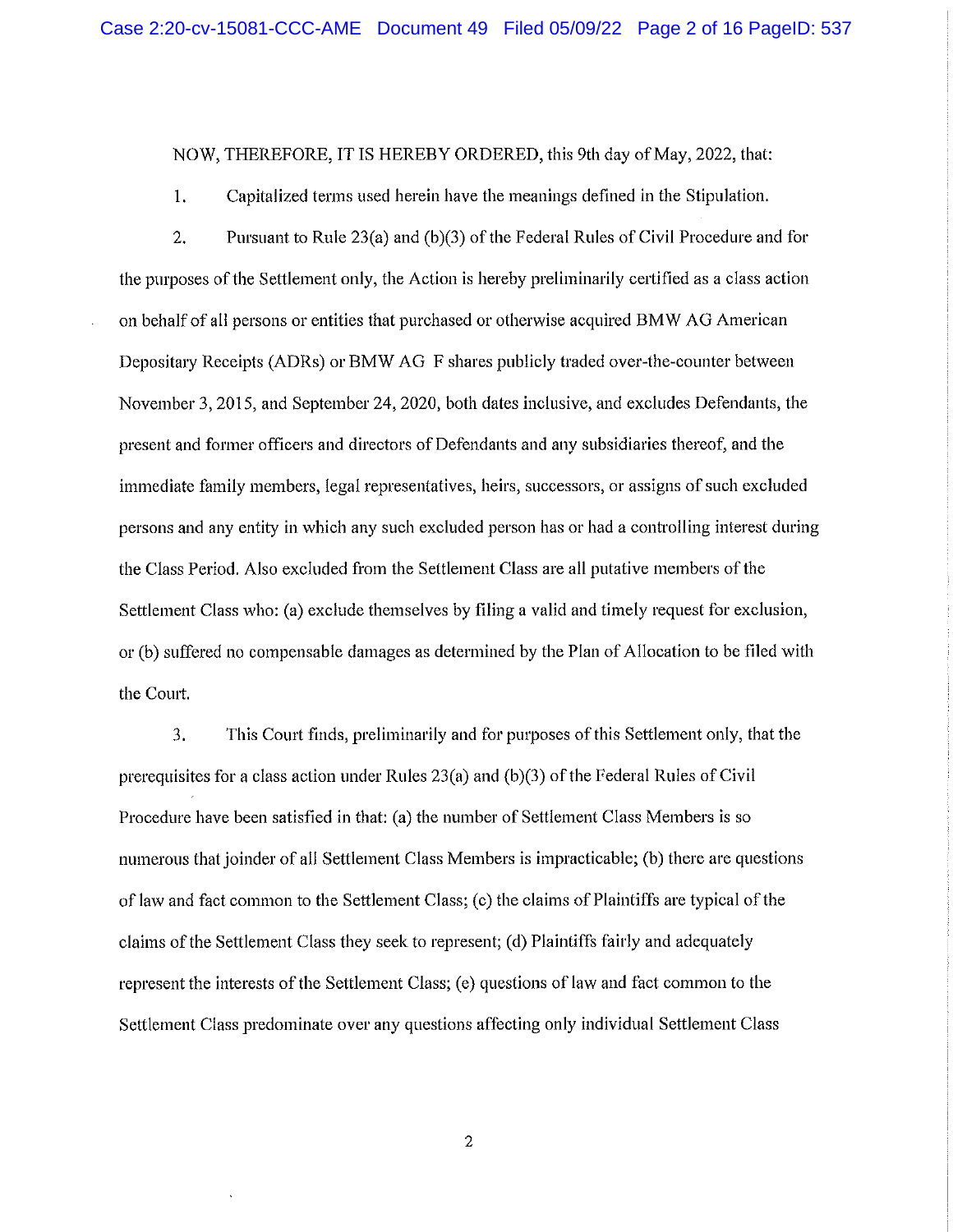NOW, THEREFORE, IT IS HEREBY ORDERED, this 9th day of May, 2022, that:

1. Capitalized terms used herein have the meanings defined in the Stipulation.

2. Pursuant to Rule 23(a) and (b)(3) of the Federal Rules of Civil Procedure and for the purposes of the Settlement only, the Action is hereby preliminarily certified as a class action on behalf of all persons or entities that purchased or otherwise acquired BMW AG American Depositary Receipts (ADRs) or BMW AG F shares publicly traded over-the-counter between November 3, 2015, and September 24, 2020, both dates inclusive, and excludes Defendants, the present and former officers and directors of Defendants and any subsidiaries thereof, and the immediate family members, legal representatives, heirs, successors, or assigns of such excluded persons and any entity in which any such excluded person has or had a controlling interest during the Class Period. Also excluded from the Settlement Class are all putative members of the Settlement Class who: (a) exclude themselves by filing a valid and timely request for exclusion, or (b) suffered no compensable damages as determined by the Plan of Allocation to be filed with the Court.

3. This Court finds, preliminariiy and for purposes of this Settlement only, that the prerequisites for a class action under Rules 23(a) and (b)(3) of the Federal Rules of Civil Procedure have been satisfied in that: (a) the number of Settlement Class Members is so numerous that joinder of all Settlement Class Members is impracticable; (b) there are questions of law and fact common to the Settlement Class; (c) the claims of Plaintiffs are typical of the claims of the Settlement Class they seek to represent; (d) Plaintiffs fairly and adequately represent the interests of the Settlement Class; (e) questions of law and fact common to the Settlement Class predominate over any questions affecting only individual Settlement Class

 $\overline{2}$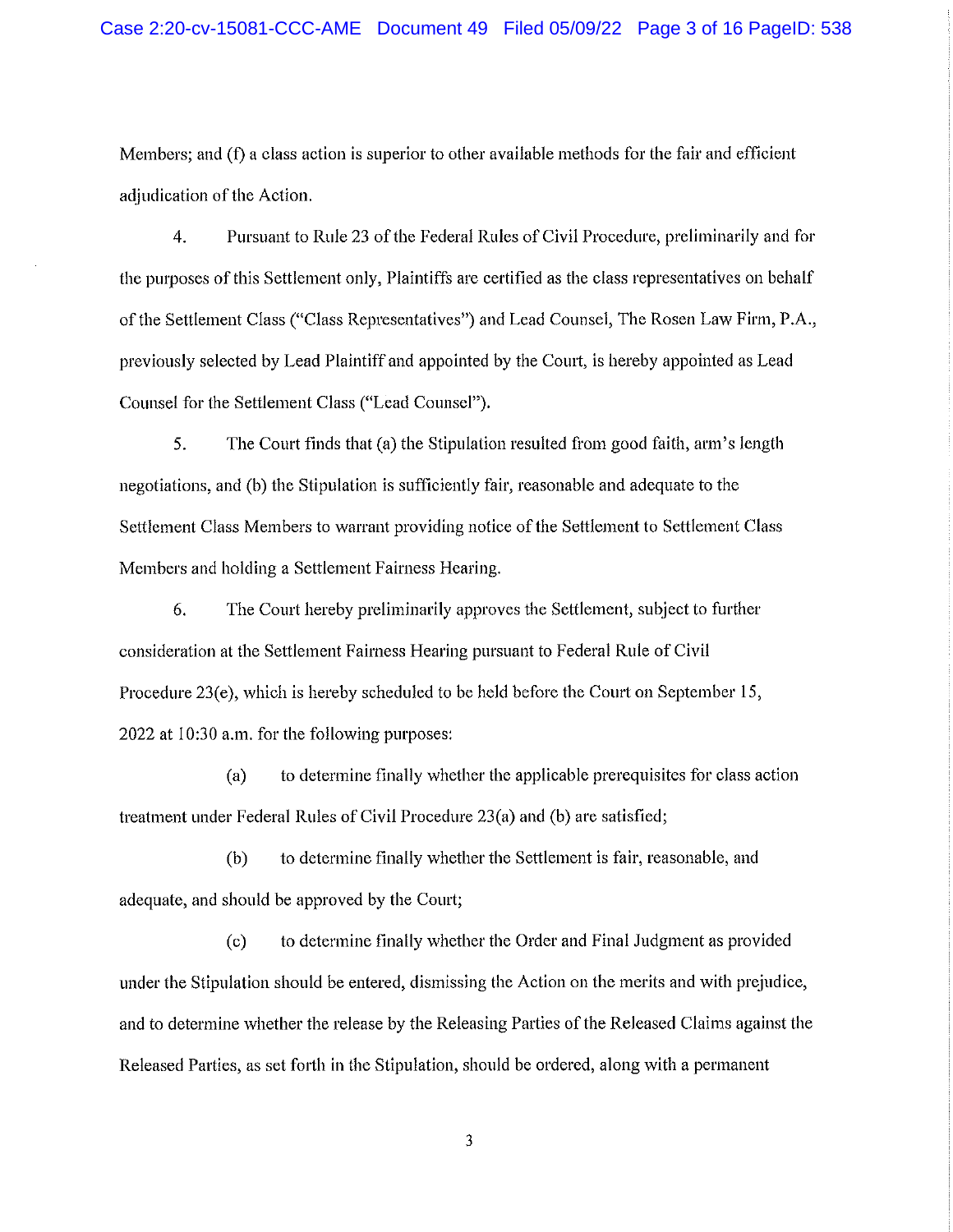Members; and (f) a class action is superior to other available methods for the fair and efficient adjudication of the Action.

4. Pursuant to Rule 23 of the Federal Rules of Civil Procedure, preliminarily and for the purposes of this Settlement only, Plaintiffs are certified as the class representatives on behalf of the Settlement Class ("Class Representatives") and Lead Counsel, The Rosen Law Firm, P.A., previously selected by Lead Plaintiff and appointed by the Court, is hereby appointed as Lead Counsel for the Settlement Class ("Lead Counsel"),

5. The Court finds that (a) the Stipulation resulted from good faith, arm's length negotiations, and (b) the Stipulation is sufficiently fair, reasonable and adequate to the Settlement Class Members to warrant providing notice of the Settlement to Settlement Class Members and holding a Settlement Fairness Hearing.

6. The Court hereby preliminarily approves the Settlement, subject to further consideration at the Settlement Fairness Hearing pursuant to Federal Rule of Civil Procedure 23(e), which is hereby scheduled to be held before the Court on September 15, 2022 at 10:30 a.m. for the following purposes;

(a) to determine finally whether the applicable prerequisites for class action treatment under Federal Rules of Civil Procedure 23(a) and (b) are satisfied;

(b) to determine finally whether the Settlement is fair, reasonable, and adequate, and should be approved by the Court;

(c) to determine finally whether the Order and Final Judgment as provided under the Stipulation should be entered, dismissing the Action on the merits and with prejudice, and to determine whether the release by the Releasing Parties of the Released Claims against the Released Parties, as set forth in the Stipulation, should be ordered, along with a permanent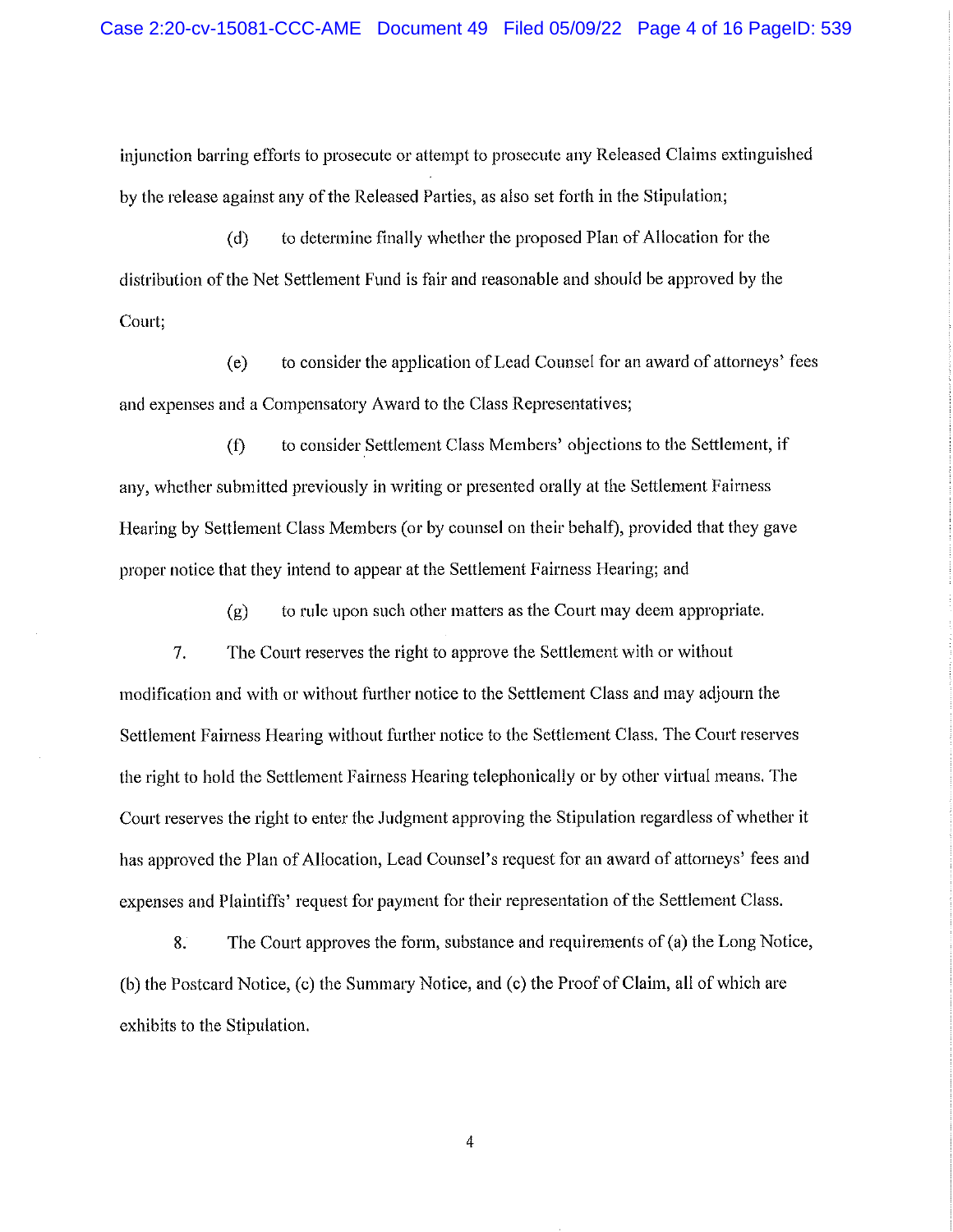injunction barring efforts to prosecute or attempt to prosecute any Released Claims extinguished by the release against any of the Released Parties, as also set forth in the Stipulation;

(d) to determine finally whether the proposed Plan of Allocation for the distribution of the Net Settlement Fund is fair and reasonable and should be approved by the Court;

(e) to consider the application of Lead Counsel for an award of attorneys fees and expenses and a Compensatory Award to the Class Representatives;

(f) to consider Settlement Class Members' objections to the Settlement, if any, whether submitted previously in writing or presented orally at the Settlement Fairness Hearing by Settlement Class Members (or by counsel on their behalf), provided that they gave proper notice that they intend to appear at the Settlement Fairness Hearing; and

(g) to rule upon such other matters as the Court may deem appropriate.

7. The Court reserves the right to approve the Settlement with or without modification and with or without further notice to the Settlement Class and may adjourn the Settlement Fairness Hearing without further notice to the Settlement Class. The Court reserves the right to hold the Settlement Fairness Hearing telephonically or by other virtual means. The Court reserves the right to enter the Judgment approving the Stipulation regardless of whether it has approved the Plan of Allocation, Lead Counsel's request for an award of attorneys' fees and expenses and Plaintiffs' request for payment for their representation of the Settlement Class.

8. The Court approves the form, substance and requirements of (a) the Long Notice, (b) the Postcard Notice, (c) the Summary Notice, and (c) the Proof of Claim, all of which are exhibits to the Stipulation.

 $\ddot{4}$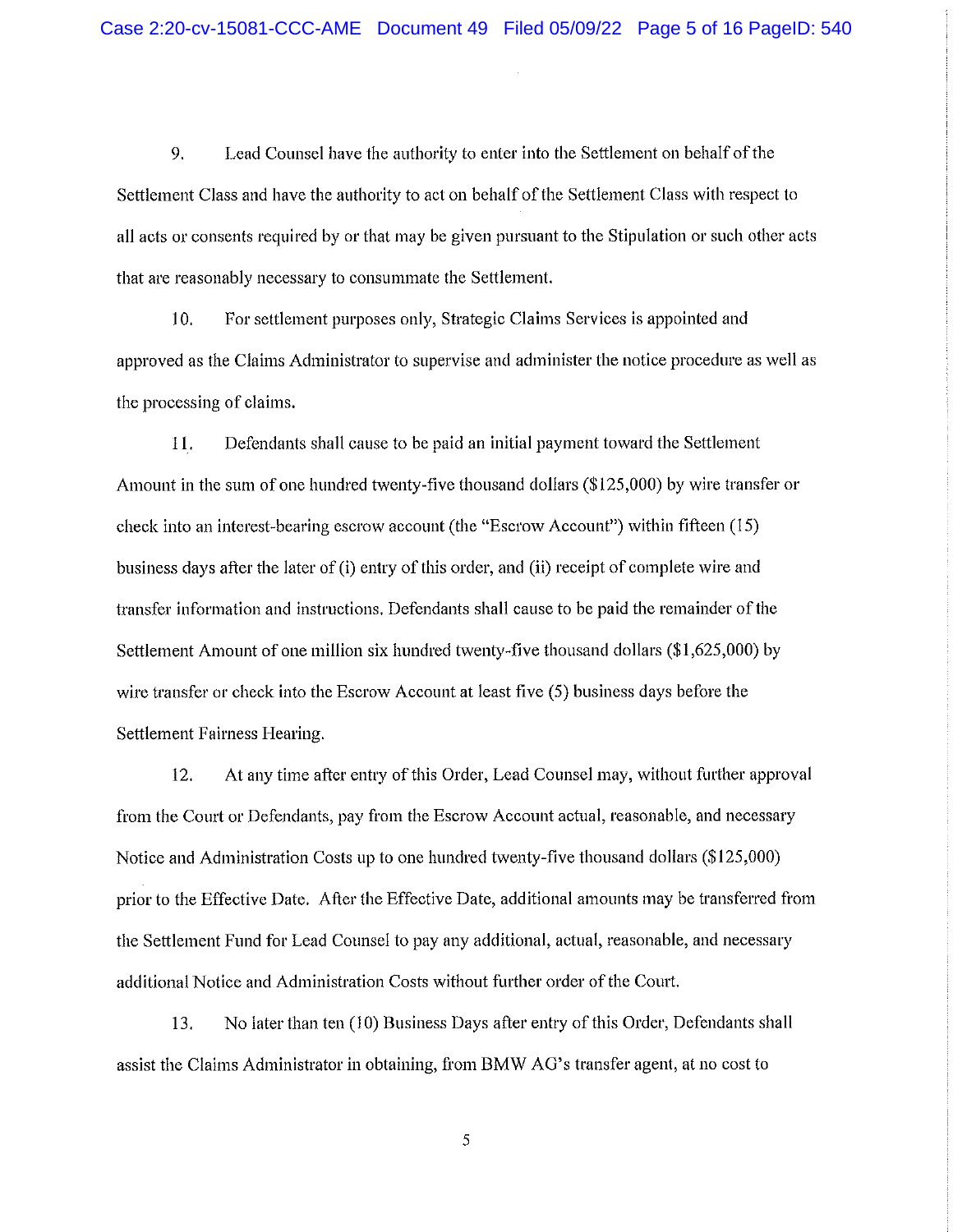9. Lead Counsel have the authority to enter into the Settlement on behalf of the Settlement Class and have the authority to act on behalf of the Settlement Class with respect to all acts or consents required by or that may be given pursuant to the Stipulation or such other acts that are reasonably necessary to consummate the Settlement.

10. For settlement purposes only, Strategic Claims Services is appointed and approved as the Claims Administrator to supervise and administer the notice procedure as well as the processing of claims.

11. Defendants shall cause to be paid an initial payment toward the Settlement Amount in the sum of one hundred twenty-five thousand dollars (\$125,000) by wire transfer or check into an interest-bearing escrow account (the "Escrow Account") within fifteen (15) business days after the later of (i) entry of this order, and (ii) receipt of complete wire and transfer information and instructions. Defendants shall cause to be paid the remainder of the Settlement Amount of one million six hundred twenty-five thousand dollars (\$1,625,000) by wire transfer or check into the Escrow Account at least five (5) business days before the Settlement Fairness Hearing.

12. At any time after entry of this Order, Lead Counsel may, without further approval from the Court or Defendants, pay from the Escrow Account actual, reasonable, and necessary Notice and Administration Costs up to one hundred twenty-five thousand dollars (\$125,000) prior to the Effective Date. After the Effective Date, additional amounts may be transferred from the Settlement Fund for Lead Counsel to pay any additional, actual, reasonable, and necessary additional Notice and Administration Costs without further order of the Court.

13. No later than ten (10) Business Days after entry of this Order, Defendants shall assist the Claims Administrator in obtaining, from BMW AG's transfer agent, at no cost to

 $\sqrt{5}$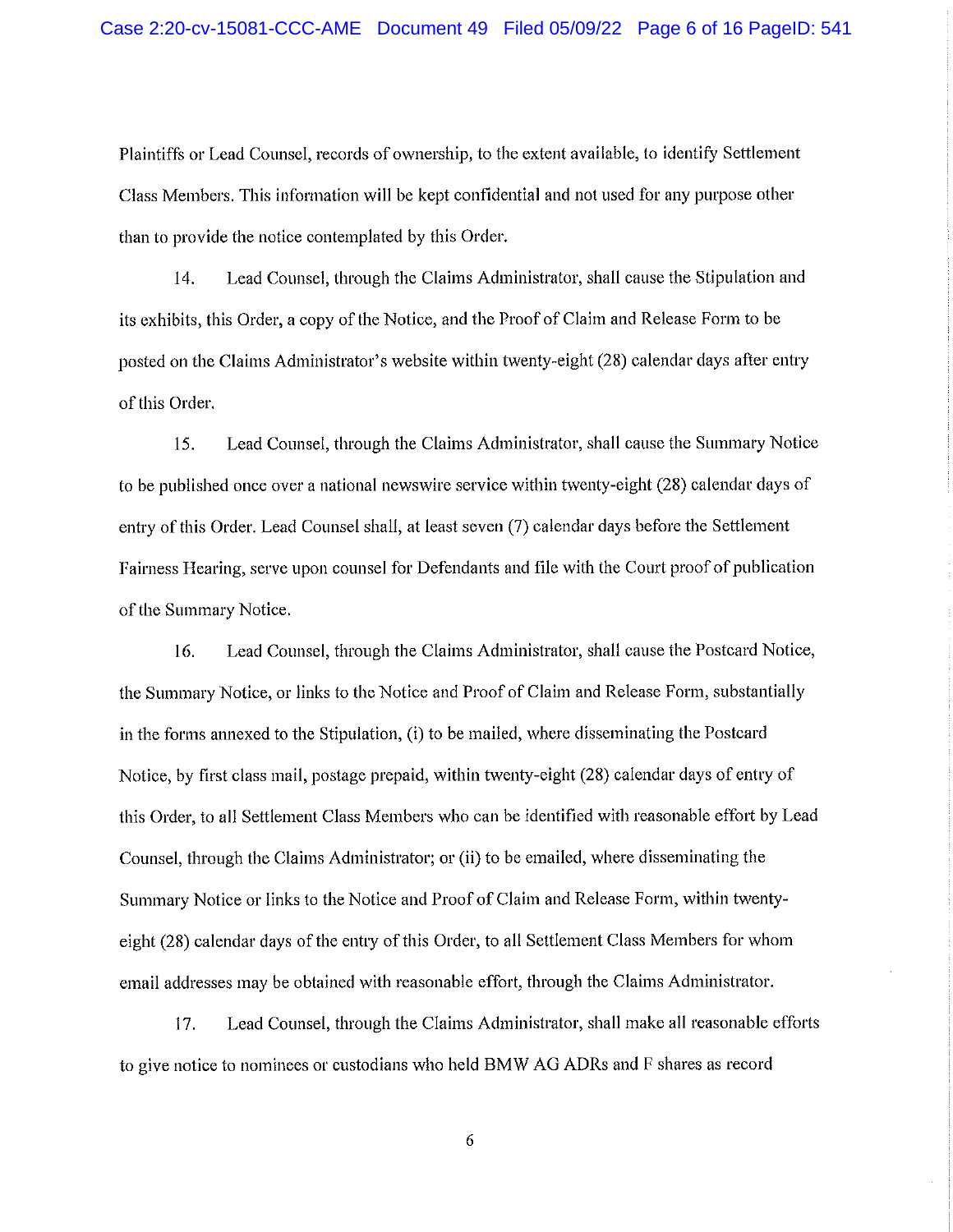Plaintiffs or Lead Counsel, records of ownership, to the extent available, to identify Settlement Class Members. This information will be kept confidential and not used for any purpose other than to provide the notice contemplated by this Order.

14. Lead Counsel, through the Claims Administrator, shall cause the Stipulation and its exhibits, this Order, a copy of the Notice, and the Proof of Claim and Release Form to be posted on the Claims Administrator's website within twenty-eight (28) calendar days after entry of this Order.

15. Lead Counsel, through the Claims Administrator, shall cause the Summary Notice to be published once over a national newswire service within twenty-eight (28) calendar days of entry of this Order. Lead Counsel shall, at least seven (7) calendar days before the Settlement Fairness Hearing, serve upon counsel for Defendants and file with the Court proof of publication of the Summary Notice.

16. Lead Counsel, through the Claims Administrator, shall cause the Postcard Notice, the Summary Notice, or links to the Notice and Proof of Claim and Release Form, substantially in the forms annexed to the Stipulation, (i) to be mailed, where disseminating the Postcard Notice, by first class mail, postage prepaid, within twenty-eight (28) calendar days of entry of this Order, to all Settlement Class Members who can be identified with reasonable effort by Lead Counsel, through the Claims Administrator; or (11) to be emailed, where disseminating the Summary Notice or links to the Notice and Proof of Claim and Release Form, within twentyeight (28) calendar days of the entry of this Order, to all Settlement Class Members for whom email addresses may be obtained with reasonable effort, through the Claims Administrator.

17. Lead Counsel, through the Claims Administrator, shall make all reasonable efforts to give notice to nominees or custodians who held BMW AG ADRs and F shares as record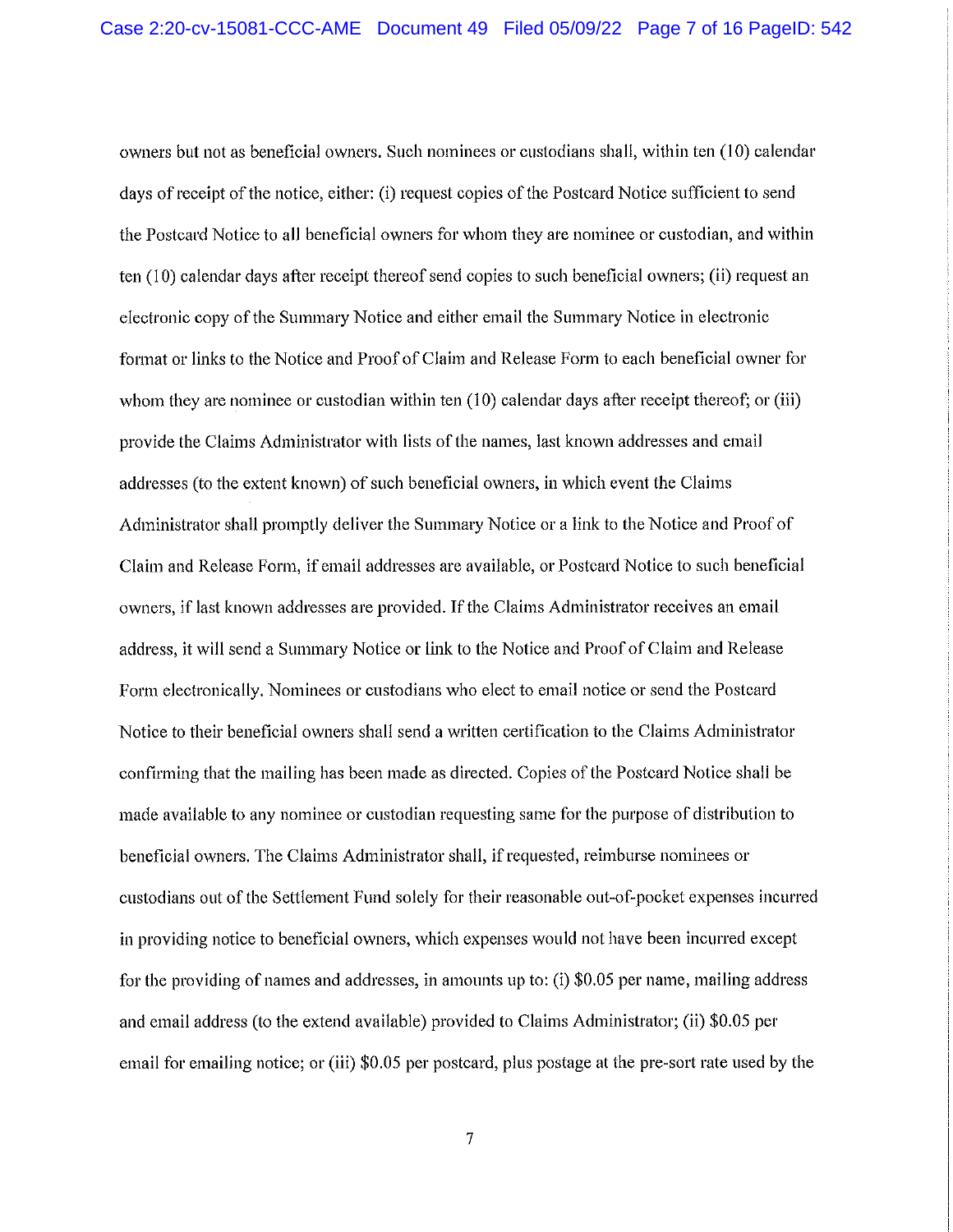owners but not as beneficial owners. Such nominees or custodians shall, within ten (10) calendar days of receipt of the notice, either: (i) request copies of the Postcard Notice sufficient to send the Postcard Notice to all beneficial owners for whom they arc nominee or custodian, and within ten (10) calendar days after receipt thereof send copies to such beneficial owners; (ii) request an electronic copy of the Summary Notice and either email the Summary Notice in electronic format or links to the Notice and Proof of Claim and Release Form to each beneficial owner for whom they are nominee or custodian within ten  $(10)$  calendar days after receipt thereof; or (iii) provide the Claims Administrator with lists of the names, last known addresses and email addresses (to the extent known) of such beneficial owners, in which event the Claims Administrator shall promptly deliver the Summary Notice or a link to the Notice and Proof of Claim and Release Form, if email addresses are available, or Postcard Notice to such beneficial owners^ if last known addresses are provided. If the Claims Administrator receives an email address, it will send a Summary Notice or link to the Notice and Proof of Claim and Release Form electronically. Nominees or custodians who elect to email notice or send the Postcard Notice to their beneficial owners shall send a written certification to the Claims Administrator confirming that the mailing has been made as directed. Copies of the Postcard Notice shall be made available to any nominee or custodian requesting same for the purpose of distribution to beneficial owners. The Claims Administrator shall, if requested, reimburse nominees or custodians out of the Settlement Fund solely for their reasonable out-of-pocket expenses incurred in providing notice to beneficial owners, which expenses would not have been incurred except for the providing of names and addresses, in amounts up to; (i) \$0.05 per name, mailing address and email address (to the extend available) provided to Claims Administrator; (ii) \$0.05 per email for emailing notice; or (iii) \$0.05 per postcard, plus postage at the pre-sort rate used by the

 $\tau$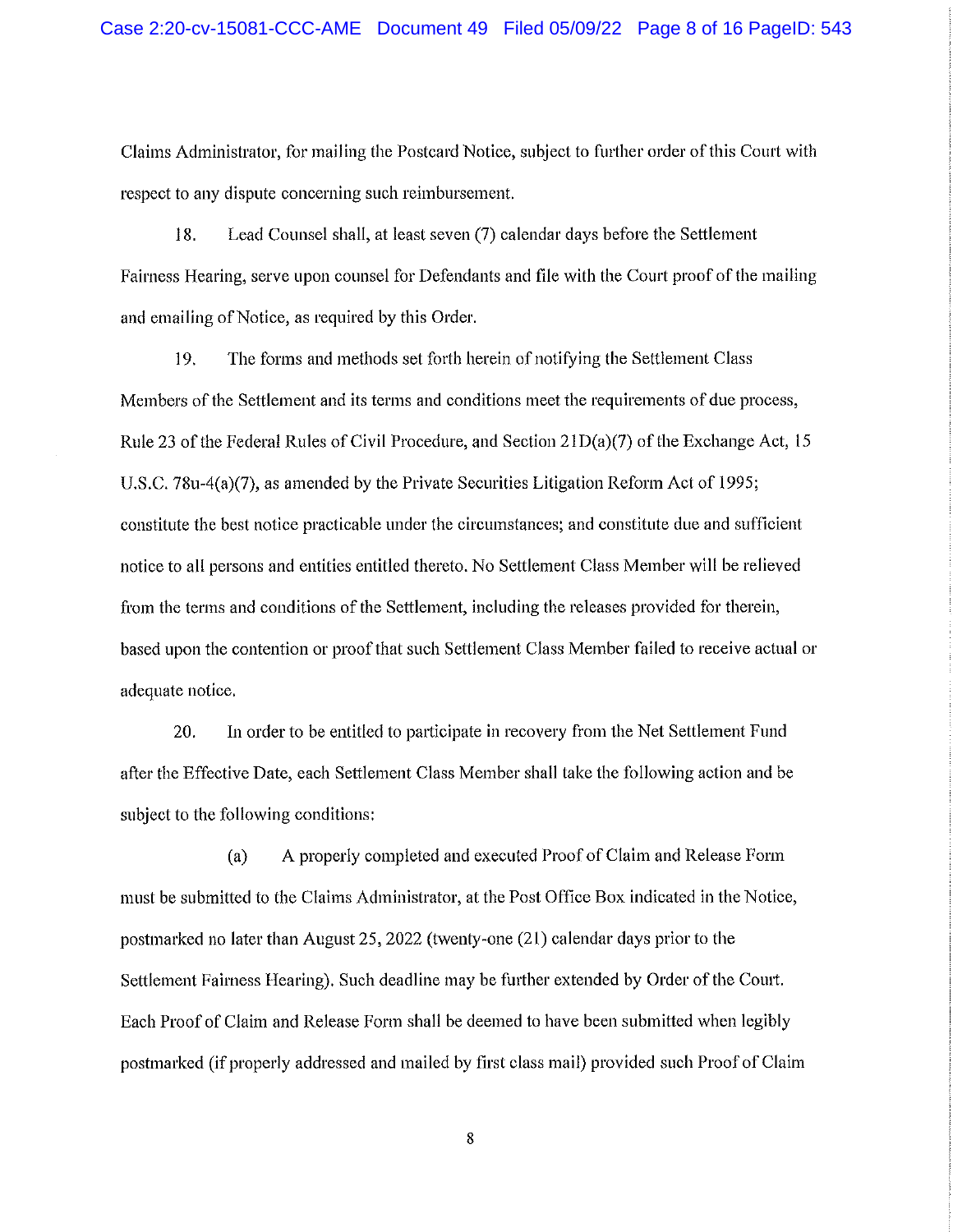Claims Administrator, for mailing the Postcard Notice^ subject to further order of this Court with respect to any dispute concerning such reimbursement.

18. Lead Counsel shall, at least seven (7) calendar days before the Settlement Fairness Hearing, serve upon counsel for Defendants and file with the Court proof of the mailing and emailing of Notice, as required by this Order.

19. The forms and methods set forth herein of notifying the Settlement Class Members of the Settlement and its terms and conditions meet the requirements of due process, Rule 23 of the Federal Rules of Civil Procedure, and Section 2 lD(a)(7) of the Exchange Act, 15 U.S.C. 78u-4(a)(7), as amended by the Private Securities Litigation Reform Act of 1995; constitute the best notice practicable under the circumstances; and constitute due and sufficient notice to all persons and entities entitled thereto. No Settlement Class Member will be relieved from the terms and conditions of the Settlement, including the releases provided for therein, based upon the contention or proof that such Settlement Class Member failed to receive actual or adequate notice.

20. In order to be entitled to participate in recovery from the Net Settlement Fund after the Effective Date, each Settlement Class Member shall take the following action and be subject to the following conditions:

(a) A properly completed and executed Proof of Claim and Release Form must be submitted to the Claims Administrator, at the Post Office Box indicated in the Notice, postmarked no later than August 25, 2022 (twenty-one (21) calendar days prior to the Settlement Fairness Hearing). Such deadline may be further extended by Order of the Court. Each Proof of Claim and Release Form shall be deemed to have been submitted when legibly postmarked (if properly addressed and mailed by first class mail) provided such Proof of Claim

 $\bf 8$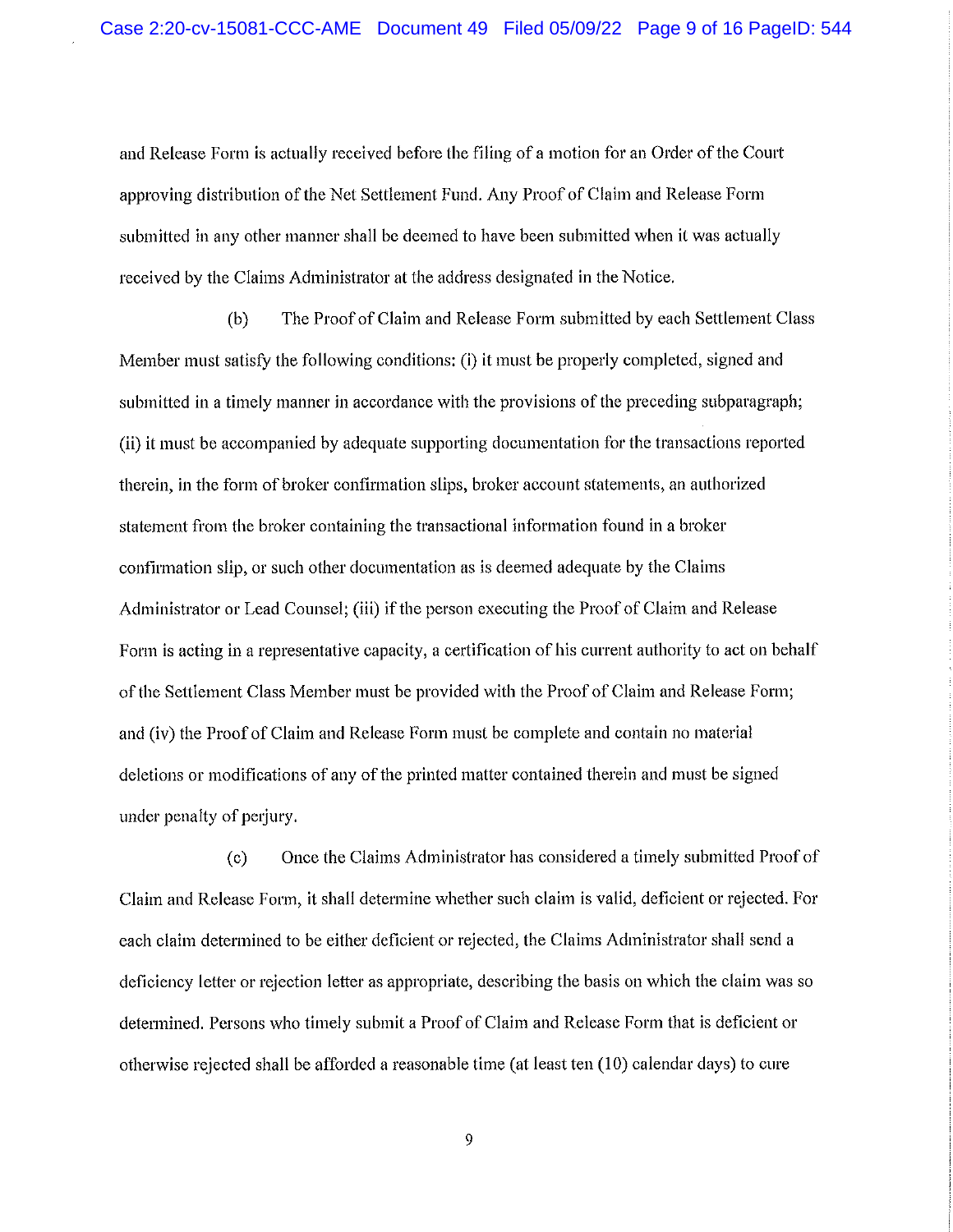and Release Form is actually received before the filing of a motion for an Order of the Court approving distribution of the Net Settlement Fund. Any Proof of Claim and Release Form submitted in any other manner shall be deemed to have been submitted when it was actually received by the Claims Administrator at the address designated in the Notice.

(b) The Proof of Claim and Release Form submitted by each Settlement Class Member must satisfy the following conditions: (1) It must be properly completed, signed and submitted in a timely manner in accordance with the provisions of the preceding subparagraph; (ii) it must be accompanied by adequate supporting documentation for the transactions reported therein, in the form of broker confirmation slips, broker account statements, an authorized statement from the broker containing the transactional information found in a broker confirmation slip, or such other documentation as is deemed adequate by the Claims Administrator or Lead Counsel; (iii) if the person executing the Proof of Claim and Release Form is acting in a representative capacity, a certification of his current authority to act on behalf of the Settlement Class Member must be provided with the Proof of Claim and Release Form; and (iv) the Proof of Claim and Release Form must be complete and contain no material deletions or modifications of any of the printed matter contained therein and must be signed under penalty of perjury.

(c) Once the Claims Administrator has considered a timely submitted Proof of Claim and Release Form, it shall determine whether such claim is valid, deficient or rejected. For each claim determined to be either deficient or rejected, the Claims Administrator shall send a deficiency letter or rejection letter as appropriate, describing the basis on which the claim was so determined. Persons who timely submit a Proof of Claim and Release Form that is deficient or otherwise rejected shall be afforded a reasonable time (at least ten (10) calendar days) to cure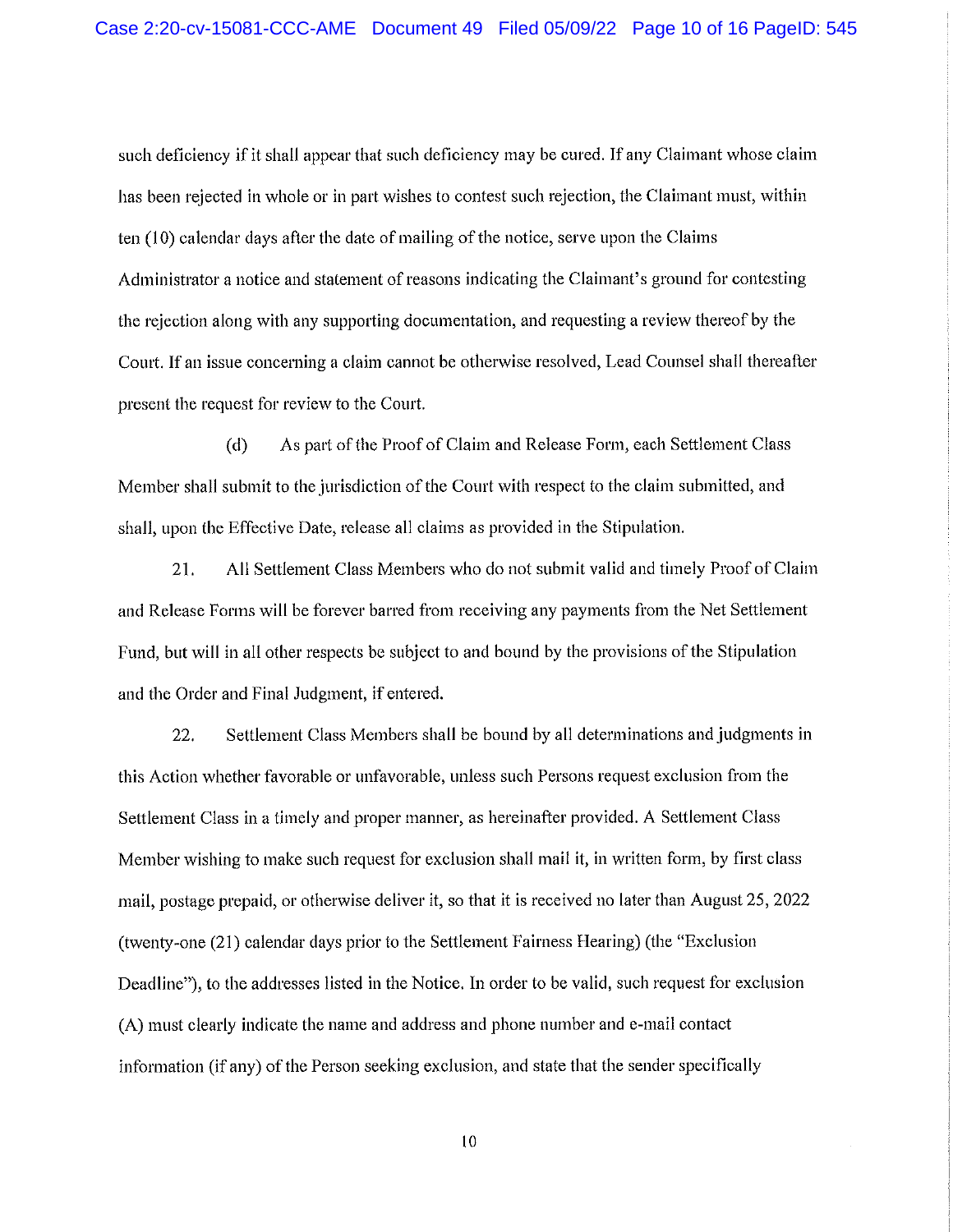such deficiency if it shall appear that such deficiency may be cured. If any Claimant whose claim has been rejected in whole or in part wishes to contest such rejection, the Claimant must, within ten  $(10)$  calendar days after the date of mailing of the notice, serve upon the Claims Administrator a notice and statement of reasons indicating the Claimant's ground for contesting the rejection along with any supporting documentation^ and requesting a review thereof by the Court. If an issue concerning a claim cannot be otherwise resolved, Lead Counsel shall thereafter present the request for review to the Court.

(d) As part of the Proof of Claim and Release Form, each Settlement Class Member shall submit to the jurisdiction of the Court with respect to the claim submitted, and shall, upon the Effective Date, release all claims as provided in the Stipulation.

21. All Settlement Class Members who do not submit valid and timely Proof of Claim and Release Forms will be forever barred from receiving any payments from the Net Settlement Fund, but will in all other respects be subject to and bound by the provisions of the Stipulation and the Order and Final Judgment, if entered.

22. Settlement Class Members shall be bound by all determinations and judgments in this Action whether favorable or unfavorable, unless such Persons request exclusion from the Settlement Class in a timely and proper manner, as hereinafter provided. A Settlement Class Member wishing to make such request for exclusion shall mail it, in written form, by first class mail, postage prepaid, or otherwise deliver it, so that it is received no later than August 25, 2022 (twenty-one (21) calendar days prior to the Settlement Fairness Hearing) (the "Exclusion Deadline"), to the addresses listed in the Notice. In order to be valid, such request for exclusion (A) must clearly indicate the name and address and phone number and e-mail contact information (if any) of the Person seeking exclusion, and state that the sender specifically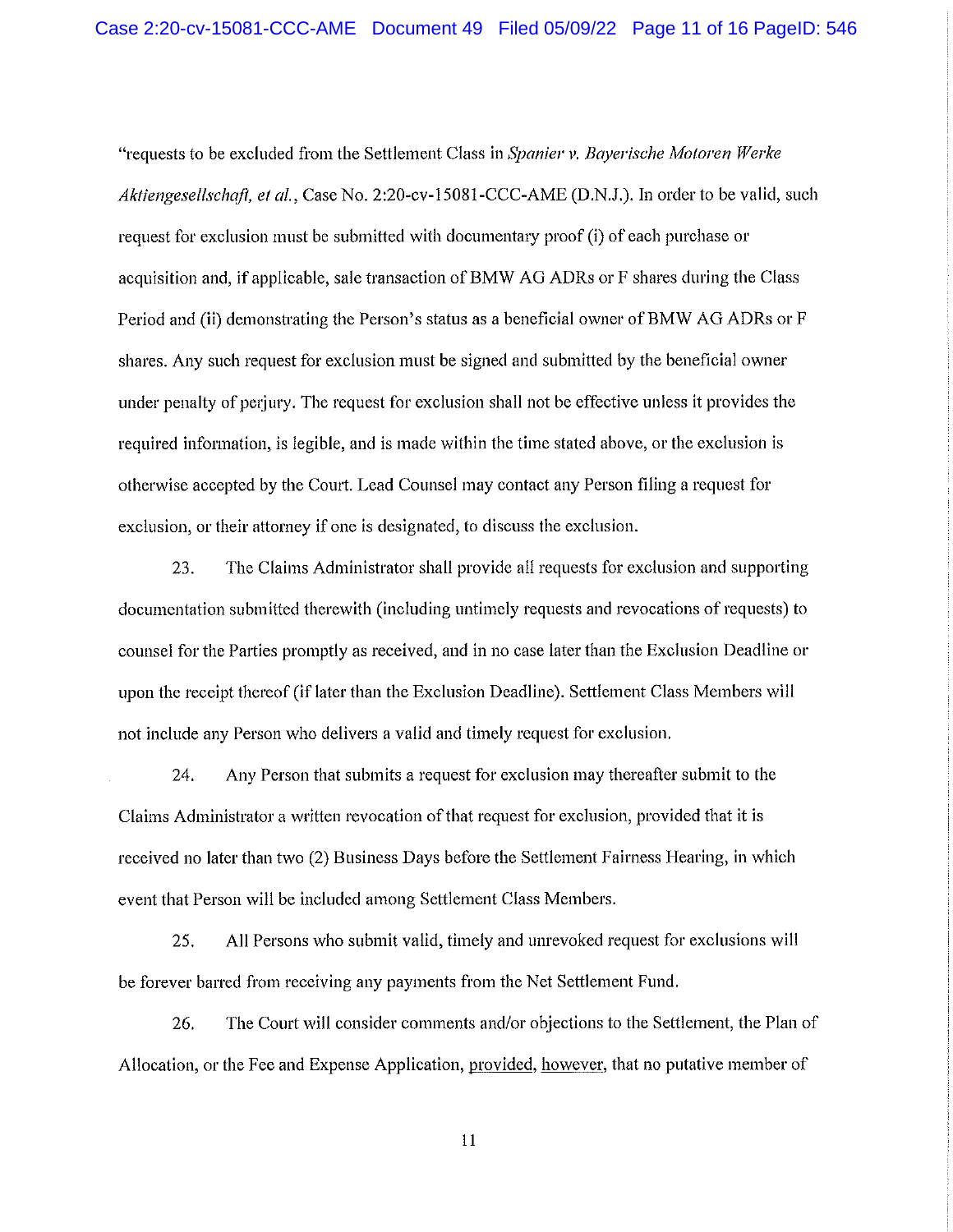"requests to be excluded from the Settlement Class in Spanier v. Bayerische Motoren Werke Aktiengesellschaft, et al., Case No. 2:20-cv-15081-CCC-AME (D.N.J.). In order to be valid, such request for exclusion must be submitted with documentary proof (i) of each purchase or acquisition and, if applicable, sale transaction of BMW AG ADRs or F shares during the Class Period and (ii) demonstrating the Person's status as a beneficial owner of BMW AG ADRs or F shares. Any such request for exclusion must be signed and submitted by the beneficial owner under penalty of perjury. The request for exclusion shall not be effective unless ft provides the required information, is legible, and is made within the time stated above, or the exclusion is otherwise accepted by the Court. Lead Counsel may contact any Person filing a request for exclusion, or their attorney if one is designated, to discuss the exclusion.

23. The Claims Administrator shall provide all requests for exclusion and supporting documentation submitted therewith (including untimely requests and revocations of requests) to counsel for the Parties promptly as received, and in no case later than the Exclusion Deadline or upon the receipt thereof (if later than the Exclusion Deadline). Settlement Class Members will not include any Person who delivers a valid and timely request for exclusion.

24. Any Person that submits a request for exclusion may thereafter submit to the Claims Administrator a written revocation of that request for exclusion, provided that it is received no later than two (2) Business Days before the Settlement Fairness Hearing, in which event that Person will be included among Settlement Class Members.

25. All Persons who submit valid, timely and unrevoked request for exclusions will be forever barred from receiving any payments from the Net Settlement Fund.

26. The Court will consider comments and/or objections to the Settlement, the Plan of Allocation, or the Fee and Expense Application, provided, however, that no putative member of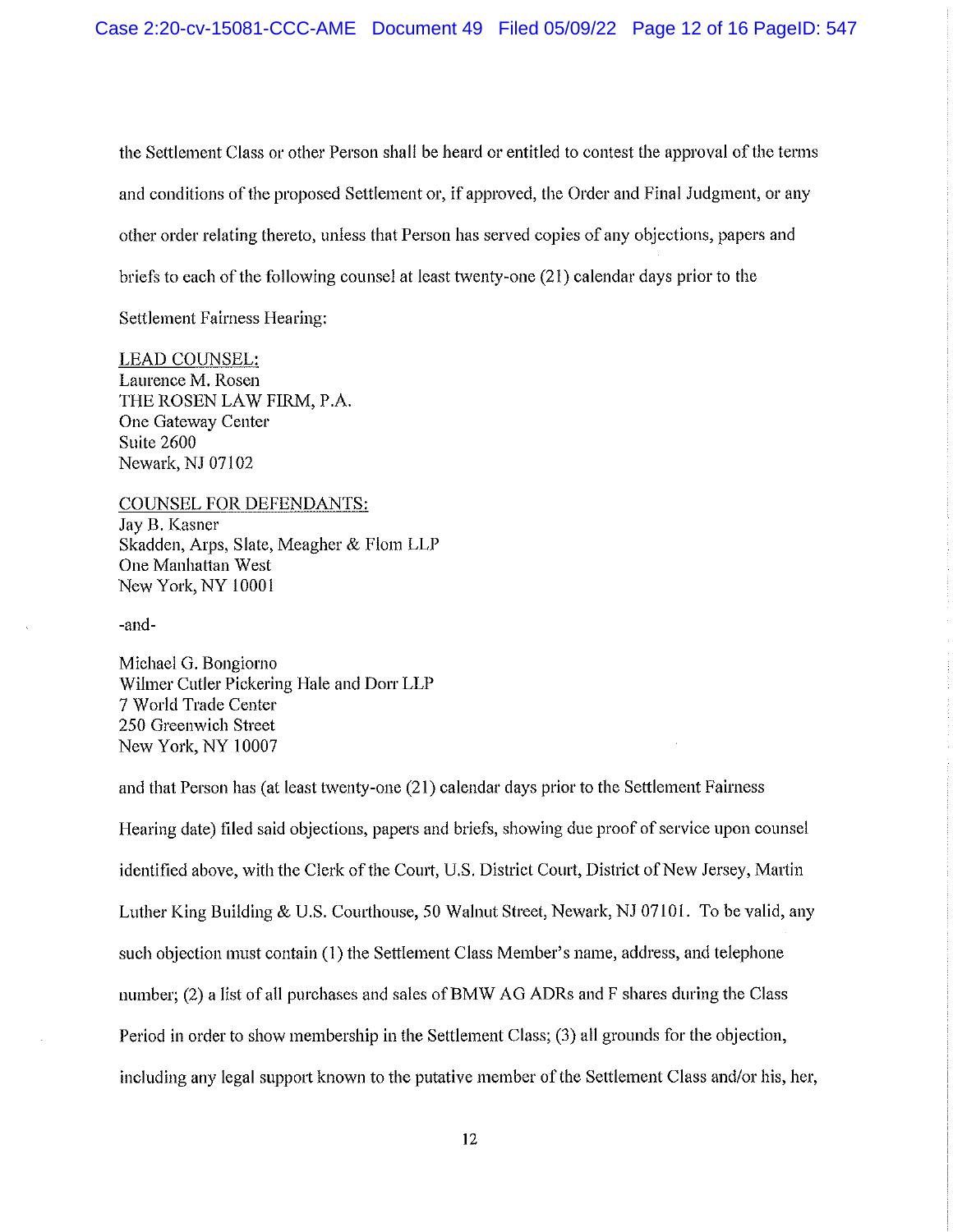the Settlement Class or other Person shall be heard or entitled to contest the approval of the terms and conditions of the proposed Settlement or, if approved, the Order and Final Judgment, or any other order relating thereto, unless that Person has served copies of any objections, papers and briefs to each of the following counsel at least twenty-one (21) calendar days prior to the

Settlement Fairness Hearing:

## LEAD COUNSEL:

Laurence M. Rosen THE ROSEN LAW FIRM, P.A. One Gateway Center Suite 2600 Newark, NJ 07102

## COUNSEL FOR DEFENDANTS:

Jay B. Kasner Skadden, Arps, Slate, Meagher & Flom LLP One Manhattan West New York, NY 10001

-and-

Michael G. Bongiomo Wilmer Cutler Pickering Hale and Dorr LLP 7 World Trade Center 250 Greenwich Street New York, NY 10007

and that Person has (at least twenty-one (21) calendar days prior to the Settlement Fairness Hearing date) filed said objections, papers and briefs, showing due proof of service upon counsel identified above, with the Clerk of the Court, U.S. District Court, District of New Jersey, Martin Luther King Building & U.S. Courthouse, 50 Walnut Street, Newark, NJ 07101. To be valid, any such objection must contain (1) the Settlement Class Member's name, address, and telephone number; (2) a list of all purchases and sales of BMW AG ADRs and F shares during the Class Period in order to show membership in the Settlement Class; (3) all grounds for the objection, including any legal support known to the putative member of the Settlement Class and/or his, her,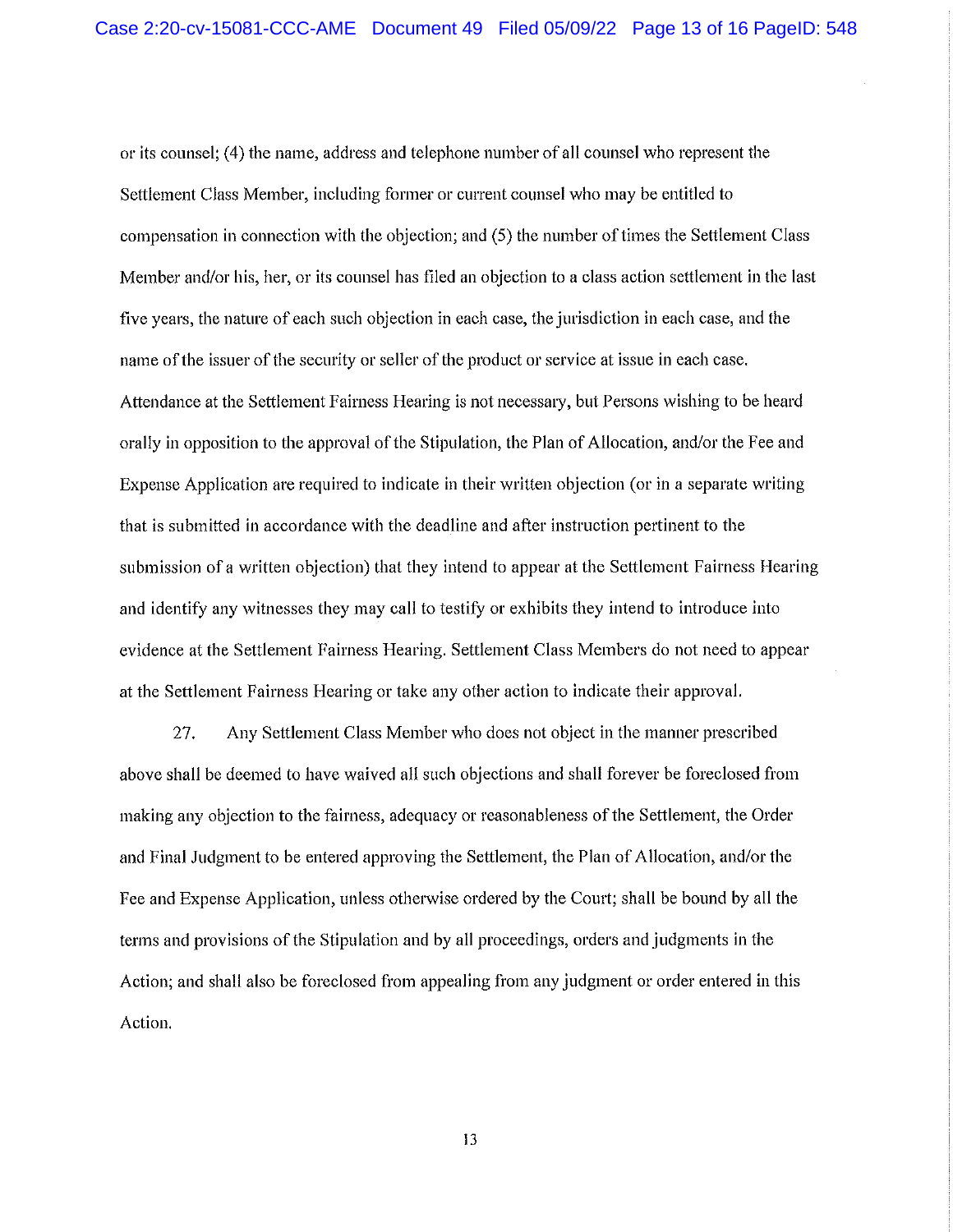or its counsel; (4) the name, address and telephone number of all counsel who represent the Settlement Class Member, including former or current counsel who may be entitled to compensation in connection with the objection; and (5) the number of times the Settlement Class Member and/or his, her, or its counsel has filed an objection to a class action settlement in the last five years, the nature of each such objection in each case, the jurisdiction in each case, and the name of the issuer of the security or seller of the product or service at issue in each case. Attendance at the Settlement Fairness Hearing is not necessary, but Persons wishing to be heard orally in opposition to the approval of the Stipulation, the Plan of Allocation, and/or the Fee and Expense Application are required to indicate in their written objection (or in a separate writing that is submitted in accordance with the deadline and after instruction pertinent to the submission of a written objection) that they intend to appear at the Settlement Fairness Hearing and identify any witnesses they may call to testify or exhibits they intend to introduce into evidence at the Settlement Fairness Hearing. Settlement Class Members do not need to appear at the Settlement Fairness Hearing or take any other action to indicate their approva!.

27. Any Settlement Class Member who does not object in the manner prescribed above shall be deemed to have waived all such objections and shall forever be foreclosed from making any objection to the fairness, adequacy or reasonableness of the Settlement, the Order and Final Judgment to be entered approving the Settlement, the Plan of Allocation, and/or the Fee and Expense Application, unless otherwise ordered by the Court; shall be bound by all the terms and provisions of the Stipulation and by all proceedings, orders and judgments in the Action; and shall also be foreclosed from appealing from any judgment or order entered in this Action.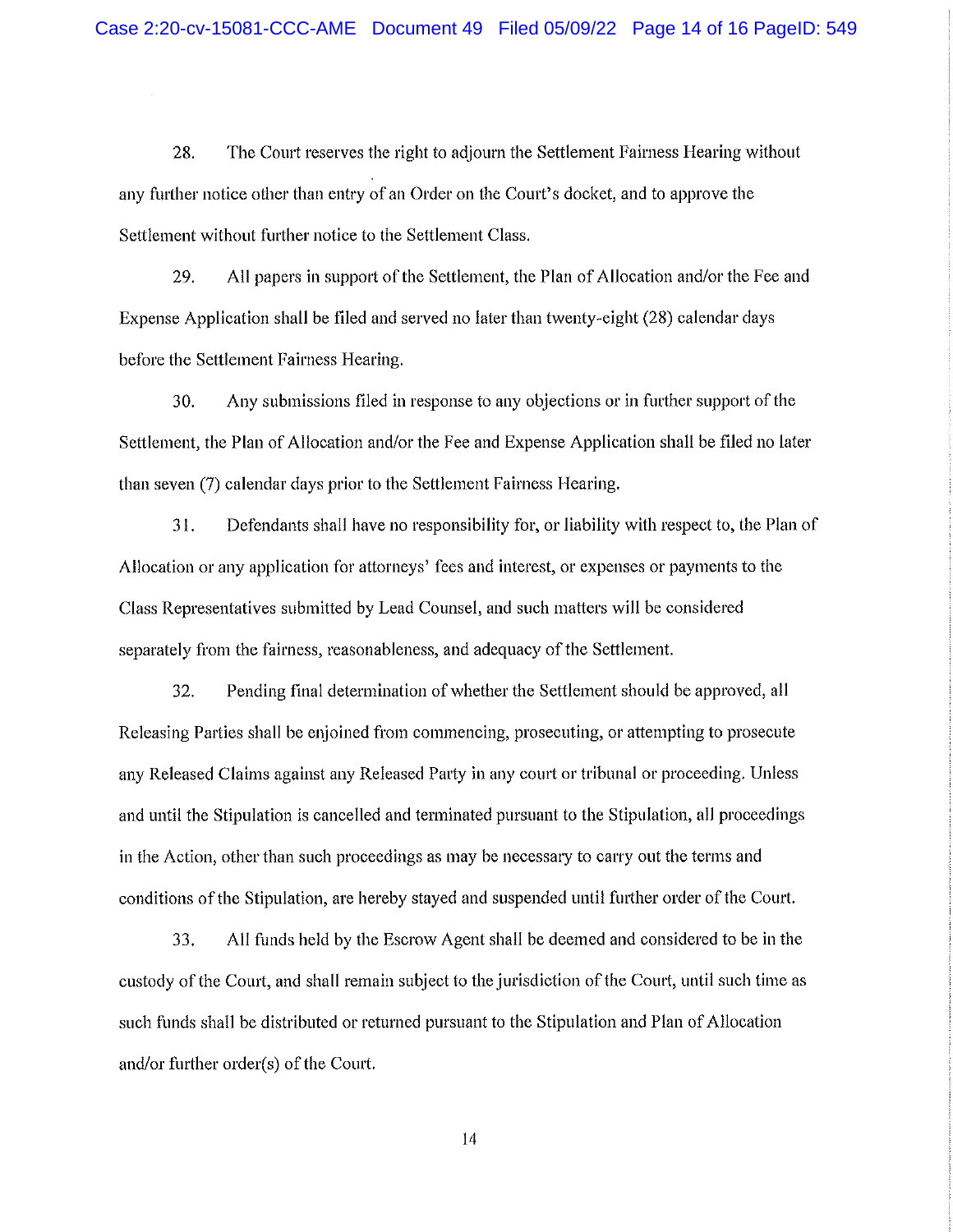28. The Court reserves the right to adjourn the Settlement Fairness Hearing without any further notice other than entry of an Order on the Court's docket, and to approve the Settlement without further notice to the Settlement Class.

29. All papers in support of the Settlement, the Plan of Allocation and/or the Fee and Expense Application shall be filed and served no later than twenty-eight (28) calendar days before the Settlement Fairness Hearing.

30. Any submissions filed in response to any objections or in further support of the Settlement, the Plan of Allocation and/or the Fee and Expense Application shall be filed no later than seven (7) calendar days prior to the Settlement Fairness Hearing.

31. Defendants shall have no responsibility for, or liability with respect to, the Plan of Allocation or any application for attorneys' fees and interest, or expenses or payments to the Class Representatives submitted by Lead Counsel, and such matters will be considered separately from the fairness, reasonableness, and adequacy of the Settlement.

32. Pending final determination of whether the Settlement should be approved, all Releasing Parties shall be enjoined from commencing, prosecuting, or attempting to prosecute any Released Claims against any Released Party in any court or tribunal or proceeding. Unless and until the Stipulation is cancelled and terminated pursuant to the Stipulation, all proceedings in the Action, other than such proceedings as may be necessary to carry out the terms and conditions of the Stipulation, are hereby stayed and suspended until further order of the Court.

33. All funds held by the Escrow Agent shall be deemed and considered to be in the custody of the Court, and shall remain subject to the jurisdiction of the Court, until such time as such funds shall be distributed or returned pursuant to the Stipulation and Plan of Allocation and/or further order(s) of the Court.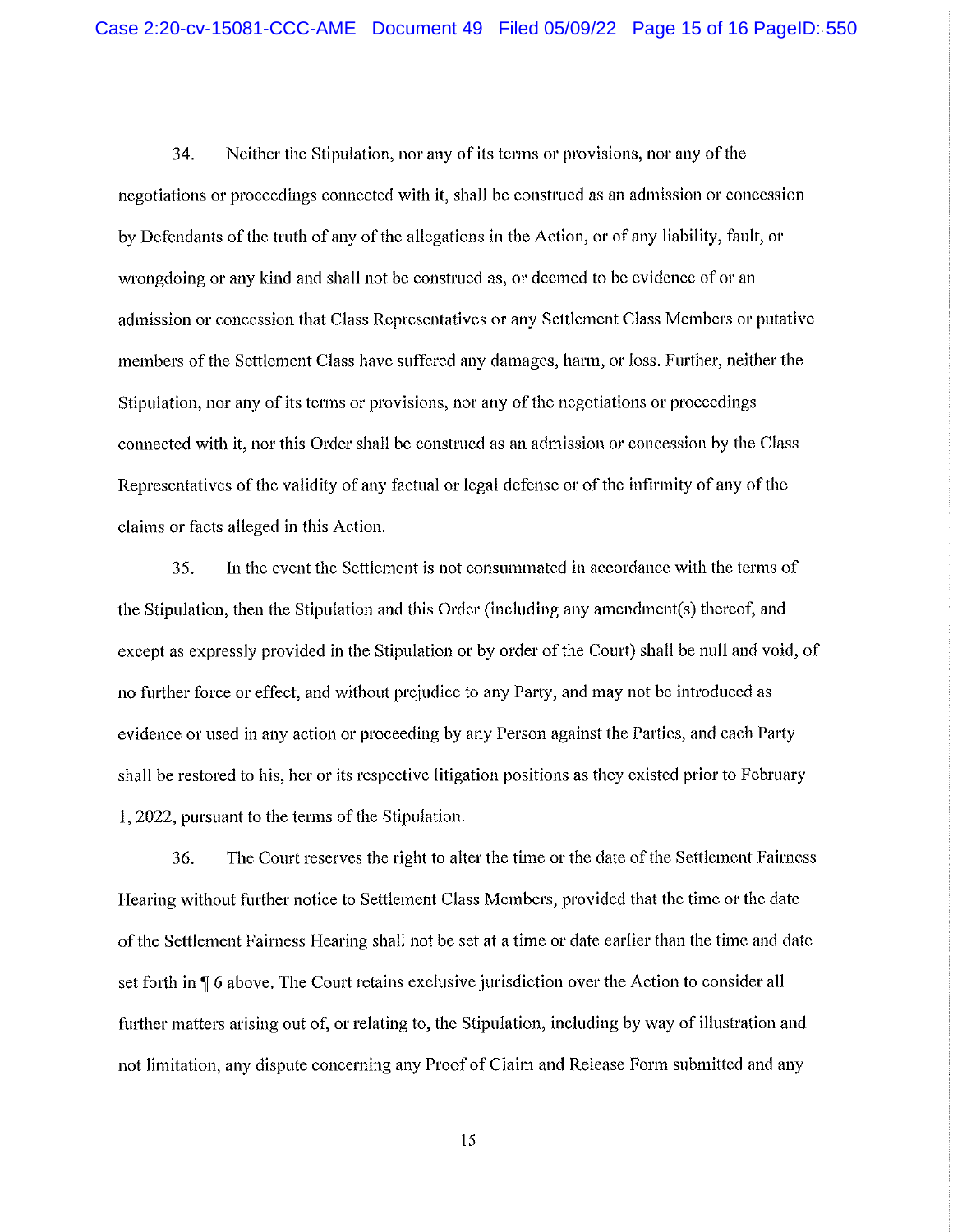34. Neither the Stipulation, nor any of its terms or provisions, nor any of the negotiations or proceedings connected with it, shall be construed as an admission or concession by Defendants of the truth of any of the allegations in the Action, or of any liability, fault, or wrongdoing or any kind and shall not be construed as, or deemed to be evidence of or an admission or concession that Class Representatives or any Settlement Class Members or putative members of the Settlement Class have suffered any damages, harm, or loss. Further, neither the Stipulation, nor any of its terms or provisions, nor any of the negotiations or proceedings connected with It, nor this Order shall be construed as an admission or concession by the Class Representatives of the validity of any factual or legal defense or of the Infirmity of any of the claims or facts alleged in this Action.

35. In the event the Settlement is not consummated in accordance with the terms of the Stipulation, then the Stipulation and this Order (Including any amendment(s) thereof, and except as expressly provided in the Stipulation or by order of the Court) shall be null and void, of no further force or effect, and without prejudice to any Party, and may not be introduced as evidence or used in any action or proceeding by any Person against the Parties, and each Party shall be restored to his, her or its respective litigation positions as they existed prior to February 1, 2022, pursuant to the terms of the Stipulation.

36. The Court reserves the right to alter the time or the date of the Settlement Fairness Hearing without further notice to Settlement Class Members, provided that the time or the date of the Settlement Fairness Hearing shall not be set at a time or date earlier than the time and date set forth in  $\P$  6 above. The Court retains exclusive jurisdiction over the Action to consider all further matters arising out of, or relating to, the Stipulation, including by way of illustration and not limitation, any dispute concerning any Proof of Claim and Release Form submitted and any